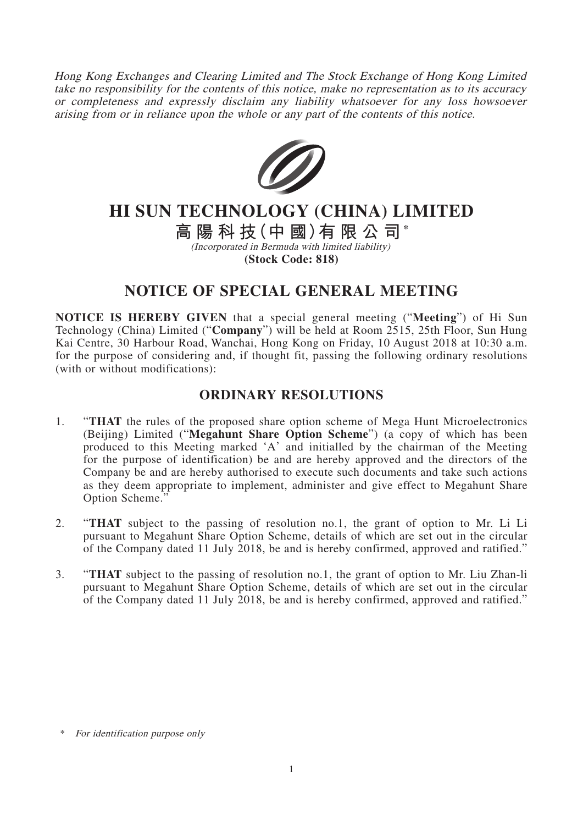Hong Kong Exchanges and Clearing Limited and The Stock Exchange of Hong Kong Limited take no responsibility for the contents of this notice, make no representation as to its accuracy or completeness and expressly disclaim any liability whatsoever for any loss howsoever arising from or in reliance upon the whole or any part of the contents of this notice.



## **HI SUN TECHNOLOGY (CHINA) LIMITED**

**高陽科技(中 國)有限公司\*** (Incorporated in Bermuda with limited liability) **(Stock Code: 818)**

## **NOTICE OF SPECIAL GENERAL MEETING**

**NOTICE IS HEREBY GIVEN** that a special general meeting ("**Meeting**") of Hi Sun Technology (China) Limited ("**Company**") will be held at Room 2515, 25th Floor, Sun Hung Kai Centre, 30 Harbour Road, Wanchai, Hong Kong on Friday, 10 August 2018 at 10:30 a.m. for the purpose of considering and, if thought fit, passing the following ordinary resolutions (with or without modifications):

## **ORDINARY RESOLUTIONS**

- 1. "**THAT** the rules of the proposed share option scheme of Mega Hunt Microelectronics (Beijing) Limited ("**Megahunt Share Option Scheme**") (a copy of which has been produced to this Meeting marked 'A' and initialled by the chairman of the Meeting for the purpose of identification) be and are hereby approved and the directors of the Company be and are hereby authorised to execute such documents and take such actions as they deem appropriate to implement, administer and give effect to Megahunt Share Option Scheme.'
- 2. "**THAT** subject to the passing of resolution no.1, the grant of option to Mr. Li Li pursuant to Megahunt Share Option Scheme, details of which are set out in the circular of the Company dated 11 July 2018, be and is hereby confirmed, approved and ratified."
- 3. "**THAT** subject to the passing of resolution no.1, the grant of option to Mr. Liu Zhan-li pursuant to Megahunt Share Option Scheme, details of which are set out in the circular of the Company dated 11 July 2018, be and is hereby confirmed, approved and ratified."

For identification purpose only